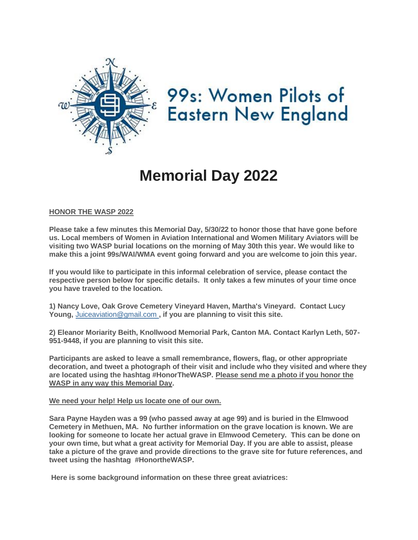

99s: Women Pilots of **Eastern New England** 

# **Memorial Day 2022**

### **HONOR THE WASP 2022**

**Please take a few minutes this Memorial Day, 5/30/22 to honor those that have gone before us. Local members of Women in Aviation International and Women Military Aviators will be visiting two WASP burial locations on the morning of May 30th this year. We would like to make this a joint 99s/WAI/WMA event going forward and you are welcome to join this year.**

**If you would like to participate in this informal celebration of service, please contact the respective person below for specific details. It only takes a few minutes of your time once you have traveled to the location.**

**1) Nancy Love, Oak Grove Cemetery Vineyard Haven, Martha's Vineyard. Contact Lucy Young,** [Juiceaviation@gmail.com](mailto:) **, if you are planning to visit this site.**

**2) Eleanor Moriarity Beith, Knollwood Memorial Park, Canton MA. Contact Karlyn Leth, 507- 951-9448, if you are planning to visit this site.**

**Participants are asked to leave a small remembrance, flowers, flag, or other appropriate decoration, and tweet a photograph of their visit and include who they visited and where they are located using the hashtag #HonorTheWASP. Please send me a photo if you honor the WASP in any way this Memorial Day.**

#### **We need your help! Help us locate one of our own.**

**Sara Payne Hayden was a 99 (who passed away at age 99) and is buried in the Elmwood Cemetery in Methuen, MA. No further information on the grave location is known. We are looking for someone to locate her actual grave in Elmwood Cemetery. This can be done on your own time, but what a great activity for Memorial Day. If you are able to assist, please take a picture of the grave and provide directions to the grave site for future references, and tweet using the hashtag #HonortheWASP.**

**Here is some background information on these three great aviatrices:**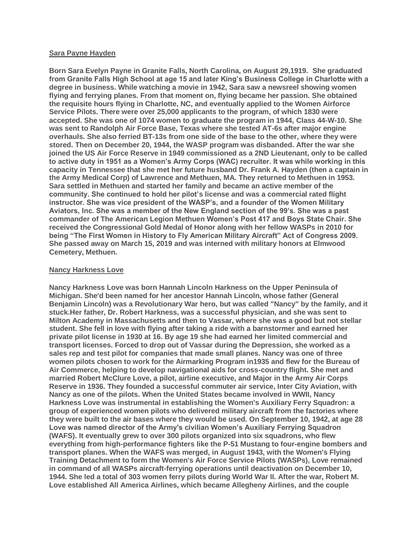#### **Sara Payne Hayden**

**Born Sara Evelyn Payne in Granite Falls, North Carolina, on August 29,1919. She graduated from Granite Falls High School at age 15 and later King's Business College in Charlotte with a degree in business. While watching a movie in 1942, Sara saw a newsreel showing women flying and ferrying planes. From that moment on, flying became her passion. She obtained the requisite hours flying in Charlotte, NC, and eventually applied to the Women Airforce Service Pilots. There were over 25,000 applicants to the program, of which 1830 were accepted. She was one of 1074 women to graduate the program in 1944, Class 44-W-10. She was sent to Randolph Air Force Base, Texas where she tested AT-6s after major engine overhauls. She also ferried BT-13s from one side of the base to the other, where they were stored. Then on December 20, 1944, the WASP program was disbanded. After the war she joined the US Air Force Reserve in 1949 commissioned as a 2ND Lieutenant, only to be called to active duty in 1951 as a Women's Army Corps (WAC) recruiter. It was while working in this capacity in Tennessee that she met her future husband Dr. Frank A. Hayden (then a captain in the Army Medical Corp) of Lawrence and Methuen, MA. They returned to Methuen in 1953. Sara settled in Methuen and started her family and became an active member of the community. She continued to hold her pilot's license and was a commercial rated flight instructor. She was vice president of the WASP's, and a founder of the Women Military Aviators, Inc. She was a member of the New England section of the 99's. She was a past commander of The American Legion Methuen Women's Post 417 and Boys State Chair. She received the Congressional Gold Medal of Honor along with her fellow WASPs in 2010 for being "The First Women in History to Fly American Military Aircraft" Act of Congress 2009. She passed away on March 15, 2019 and was interned with military honors at Elmwood Cemetery, Methuen.**

#### **Nancy Harkness Love**

**Nancy Harkness Love was born Hannah Lincoln Harkness on the Upper Peninsula of Michigan. She'd been named for her ancestor Hannah Lincoln, whose father (General Benjamin Lincoln) was a Revolutionary War hero, but was called "Nancy" by the family, and it stuck.Her father, Dr. Robert Harkness, was a successful physician, and she was sent to Milton Academy in Massachusetts and then to Vassar, where she was a good but not stellar student. She fell in love with flying after taking a ride with a barnstormer and earned her private pilot license in 1930 at 16. By age 19 she had earned her limited commercial and transport licenses. Forced to drop out of Vassar during the Depression, she worked as a sales rep and test pilot for companies that made small planes. Nancy was one of three women pilots chosen to work for the Airmarking Program in1935 and flew for the Bureau of Air Commerce, helping to develop navigational aids for cross-country flight. She met and married Robert McClure Love, a pilot, airline executive, and Major in the Army Air Corps Reserve in 1936. They founded a successful commuter air service, Inter City Aviation, with Nancy as one of the pilots. When the United States became involved in WWII, Nancy Harkness Love was instrumental in establishing the Women's Auxiliary Ferry Squadron: a group of experienced women pilots who delivered military aircraft from the factories where they were built to the air bases where they would be used. On September 10, 1942, at age 28 Love was named director of the Army's civilian Women's Auxiliary Ferrying Squadron (WAFS). It eventually grew to over 300 pilots organized into six squadrons, who flew everything from high-performance fighters like the P-51 Mustang to four-engine bombers and transport planes. When the WAFS was merged, in August 1943, with the Women's Flying Training Detachment to form the Women's Air Force Service Pilots (WASPs), Love remained in command of all WASPs aircraft-ferrying operations until deactivation on December 10, 1944. She led a total of 303 women ferry pilots during World War II. After the war, Robert M. Love established All America Airlines, which became Allegheny Airlines, and the couple**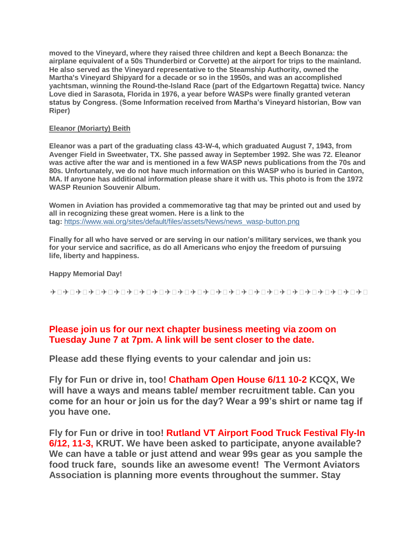**moved to the Vineyard, where they raised three children and kept a Beech Bonanza: the airplane equivalent of a 50s Thunderbird or Corvette) at the airport for trips to the mainland. He also served as the Vineyard representative to the Steamship Authority, owned the Martha's Vineyard Shipyard for a decade or so in the 1950s, and was an accomplished yachtsman, winning the Round-the-Island Race (part of the Edgartown Regatta) twice. Nancy Love died in Sarasota, Florida in 1976, a year before WASPs were finally granted veteran status by Congress. (Some Information received from Martha's Vineyard historian, Bow van Riper)**

### **Eleanor (Moriarty) Beith**

**Eleanor was a part of the graduating class 43-W-4, which graduated August 7, 1943, from Avenger Field in Sweetwater, TX. She passed away in September 1992. She was 72. Eleanor was active after the war and is mentioned in a few WASP news publications from the 70s and 80s. Unfortunately, we do not have much information on this WASP who is buried in Canton, MA. If anyone has additional information please share it with us. This photo is from the 1972 WASP Reunion Souvenir Album.**

**Women in Aviation has provided a commemorative tag that may be printed out and used by all in recognizing these great women. Here is a link to the tag:** [https://www.wai.org/sites/default/files/assets/News/news\\_wasp-button.png](https://www.wai.org/sites/default/files/assets/News/news_wasp-button.png)

**Finally for all who have served or are serving in our nation's military services, we thank you for your service and sacrifice, as do all Americans who enjoy the freedom of pursuing life, liberty and happiness.**

### **Happy Memorial Day!**

✈ ✈ ✈ ✈ ✈ ✈ ✈ ✈ ✈ ✈ ✈ ✈ ✈ ✈ ✈ ✈ ✈ ✈ ✈ ✈ ✈ ✈ ✈ ✈ ✈

### **Please join us for our next chapter business meeting via zoom on Tuesday June 7 at 7pm. A link will be sent closer to the date.**

**Please add these flying events to your calendar and join us:**

**Fly for Fun or drive in, too! Chatham Open House 6/11 10-2 KCQX, We will have a ways and means table/ member recruitment table. Can you come for an hour or join us for the day? Wear a 99's shirt or name tag if you have one.**

**Fly for Fun or drive in too! Rutland VT Airport Food Truck Festival Fly-In 6/12, 11-3, KRUT. We have been asked to participate, anyone available? We can have a table or just attend and wear 99s gear as you sample the food truck fare, sounds like an awesome event! The Vermont Aviators Association is planning more events throughout the summer. Stay**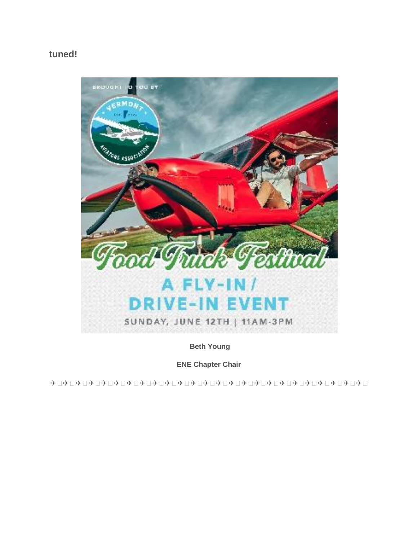## **tuned!**



**Beth Young**

**ENE Chapter Chair**

✈ ✈ ✈ ✈ ✈ ✈ ✈ ✈ ✈ ✈ ✈ ✈ ✈ ✈ ✈ ✈ ✈ ✈ ✈ ✈ ✈ ✈ ✈ ✈ ✈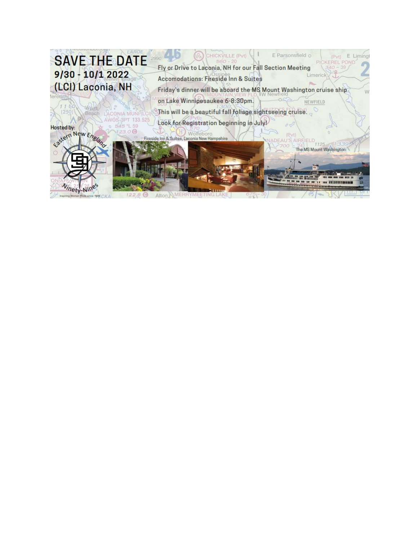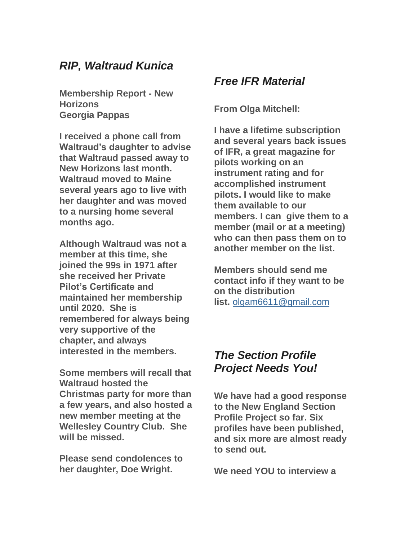## *RIP, Waltraud Kunica*

**Membership Report - New Horizons Georgia Pappas**

**I received a phone call from Waltraud's daughter to advise that Waltraud passed away to New Horizons last month. Waltraud moved to Maine several years ago to live with her daughter and was moved to a nursing home several months ago.**

**Although Waltraud was not a member at this time, she joined the 99s in 1971 after she received her Private Pilot's Certificate and maintained her membership until 2020. She is remembered for always being very supportive of the chapter, and always interested in the members.**

**Some members will recall that Waltraud hosted the Christmas party for more than a few years, and also hosted a new member meeting at the Wellesley Country Club. She will be missed.**

**Please send condolences to her daughter, Doe Wright.** 

## *Free IFR Material*

**From Olga Mitchell:**

**I have a lifetime subscription and several years back issues of IFR, a great magazine for pilots working on an instrument rating and for accomplished instrument pilots. I would like to make them available to our members. I can give them to a member (mail or at a meeting) who can then pass them on to another member on the list.**

**Members should send me contact info if they want to be on the distribution list.** [olgam6611@gmail.com](mailto:)

## *The Section Profile Project Needs You!*

**We have had a good response to the New England Section Profile Project so far. Six profiles have been published, and six more are almost ready to send out.**

**We need YOU to interview a**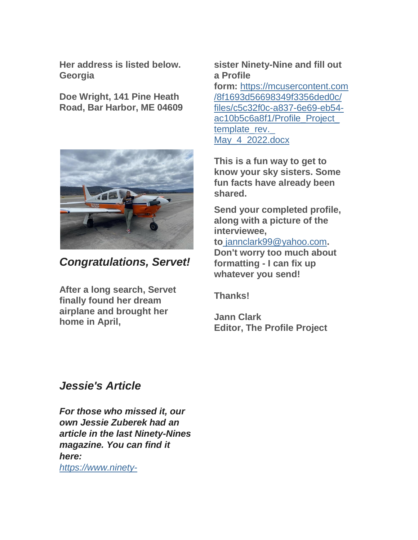**Her address is listed below. Georgia**

**Doe Wright, 141 Pine Heath Road, Bar Harbor, ME 04609** 



*Congratulations, Servet!*

**After a long search, Servet finally found her dream airplane and brought her home in April,**

## **sister Ninety-Nine and fill out a Profile**

**form:** [https://mcusercontent.com](https://mcusercontent.com/8f1693d56698349f3356ded0c/files/c5c32f0c-a837-6e69-eb54-ac10b5c6a8f1/Profile_Project_template_rev._May_4_2022.docx) [/8f1693d56698349f3356ded0c/](https://mcusercontent.com/8f1693d56698349f3356ded0c/files/c5c32f0c-a837-6e69-eb54-ac10b5c6a8f1/Profile_Project_template_rev._May_4_2022.docx) [files/c5c32f0c-a837-6e69-eb54](https://mcusercontent.com/8f1693d56698349f3356ded0c/files/c5c32f0c-a837-6e69-eb54-ac10b5c6a8f1/Profile_Project_template_rev._May_4_2022.docx) [ac10b5c6a8f1/Profile\\_Project\\_](https://mcusercontent.com/8f1693d56698349f3356ded0c/files/c5c32f0c-a837-6e69-eb54-ac10b5c6a8f1/Profile_Project_template_rev._May_4_2022.docx) template\_rev. [May\\_4\\_2022.docx](https://mcusercontent.com/8f1693d56698349f3356ded0c/files/c5c32f0c-a837-6e69-eb54-ac10b5c6a8f1/Profile_Project_template_rev._May_4_2022.docx)

**This is a fun way to get to know your sky sisters. Some fun facts have already been shared.**

**Send your completed profile, along with a picture of the interviewee,** 

**to** [jannclark99@yahoo.com](mailto:)**.** 

**Don't worry too much about formatting - I can fix up whatever you send!**

**Thanks!**

**Jann Clark Editor, The Profile Project**

## *Jessie's Article*

*For those who missed it, our own Jessie Zuberek had an article in the last Ninety-Nines magazine. You can find it here: [https://www.ninety-](http://)*